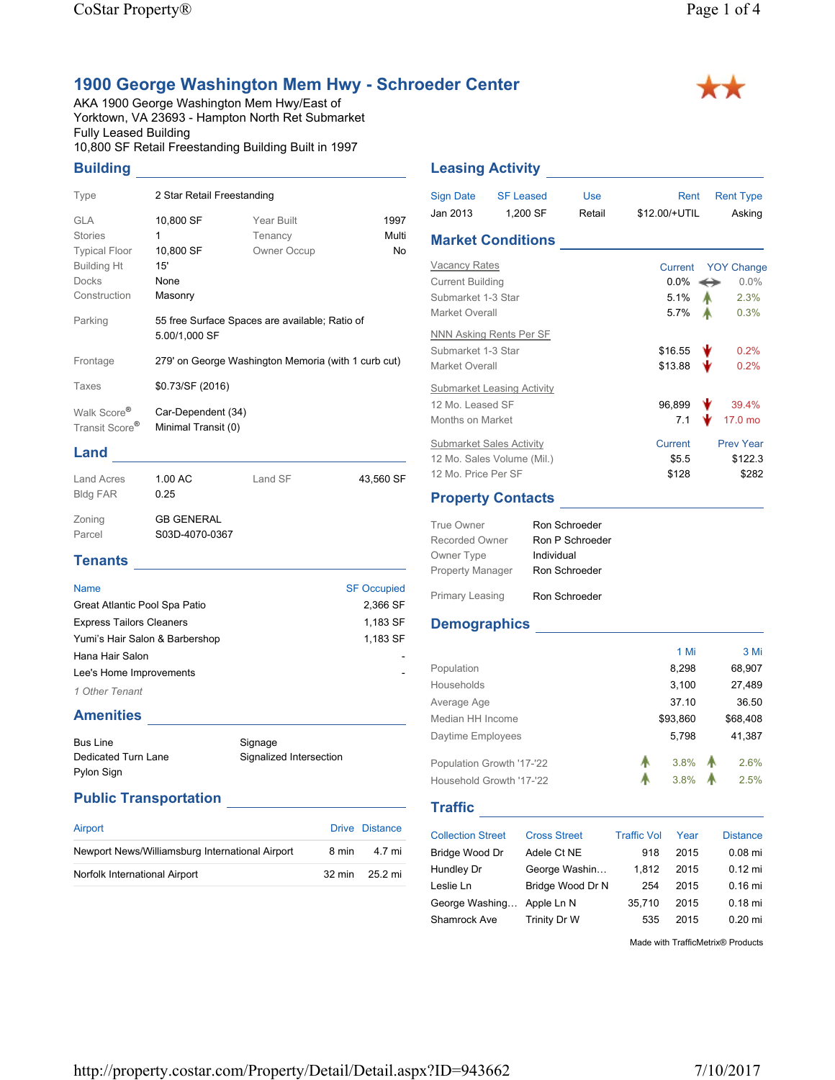## **1900 George Washington Mem Hwy - Schroeder Center**

AKA 1900 George Washington Mem Hwy/East of Yorktown, VA 23693 - Hampton North Ret Submarket Fully Leased Building 10,800 SF Retail Freestanding Building Built in 1997

### **Building**

| Type                                                                                                       | 2 Star Retail Freestanding                                      |                                                     |                     |
|------------------------------------------------------------------------------------------------------------|-----------------------------------------------------------------|-----------------------------------------------------|---------------------|
| <b>GLA</b><br><b>Stories</b><br><b>Typical Floor</b><br><b>Building Ht</b><br><b>Docks</b><br>Construction | 10,800 SF<br>1<br>10,800 SF<br>15'<br>None<br>Masonry           | Year Built<br>Tenancy<br>Owner Occup                | 1997<br>Multi<br>No |
| Parking                                                                                                    | 55 free Surface Spaces are available; Ratio of<br>5.00/1,000 SF |                                                     |                     |
| Frontage                                                                                                   |                                                                 | 279' on George Washington Memoria (with 1 curb cut) |                     |
| Taxes                                                                                                      | \$0.73/SF (2016)                                                |                                                     |                     |
| Walk Score <sup>®</sup><br>Transit Score <sup>®</sup>                                                      | Car-Dependent (34)<br>Minimal Transit (0)                       |                                                     |                     |

#### **Land**

| <b>Land Acres</b><br><b>Bldg FAR</b> | 1.00 AC<br>0.25                     | Land SF | 43,560 SF |
|--------------------------------------|-------------------------------------|---------|-----------|
| Zoning<br>Parcel                     | <b>GB GENERAL</b><br>S03D-4070-0367 |         |           |
| <b>Tenants</b>                       |                                     |         |           |

| <b>Name</b>                     | <b>SF Occupied</b> |
|---------------------------------|--------------------|
| Great Atlantic Pool Spa Patio   | 2,366 SF           |
| <b>Express Tailors Cleaners</b> | 1,183 SF           |
| Yumi's Hair Salon & Barbershop  | 1,183 SF           |
| Hana Hair Salon                 |                    |
| Lee's Home Improvements         |                    |
| 1 Other Tenant                  |                    |

# **Amenities**

Bus Line Dedicated Turn Lane Pylon Sign Signage Signalized Intersection

#### **Public Transportation**

| Airport                                         |       | Drive Distance |
|-------------------------------------------------|-------|----------------|
| Newport News/Williamsburg International Airport | 8 min | 4.7 mi         |
| Norfolk International Airport                   |       | 32 min 25.2 mi |

#### **Leasing Activity** <u>Constantine Constanting</u>

| Sign Date<br>Jan 2013                                                                   | <b>SF Leased</b><br>1,200 SF                                  | Use<br>Retail | Rent<br>\$12.00/+UTIL              | <b>Rent Type</b><br>Asking                             |
|-----------------------------------------------------------------------------------------|---------------------------------------------------------------|---------------|------------------------------------|--------------------------------------------------------|
|                                                                                         | <b>Market Conditions</b>                                      |               |                                    |                                                        |
| <b>Vacancy Rates</b><br><b>Current Building</b><br>Submarket 1-3 Star<br>Market Overall |                                                               |               | Current<br>$0.0\%$<br>5.1%<br>5.7% | <b>YOY Change</b><br>$0.0\%$<br>↔<br>2.3%<br>А<br>0.3% |
| NNN Asking Rents Per SF<br>Submarket 1-3 Star<br>Market Overall                         |                                                               |               | \$16.55<br>\$13.88                 | 0.2%<br>0.2%                                           |
| 12 Mo Leased SF<br>Months on Market                                                     | Submarket Leasing Activity                                    |               | 96,899<br>7.1                      | 39.4%<br>17.0 mo                                       |
| 12 Mo. Price Per SF                                                                     | <b>Submarket Sales Activity</b><br>12 Mo. Sales Volume (Mil.) |               | Current<br>\$5.5<br>\$128          | <b>Prev Year</b><br>\$122.3<br>\$282                   |

#### **Property Contacts**

| True Owner              | Ron Schroeder   |
|-------------------------|-----------------|
| Recorded Owner          | Ron P Schroeder |
| Owner Type              | Individual      |
| <b>Property Manager</b> | Ron Schroeder   |
| Primary Leasing         | Ron Schroeder   |

#### **Demographics**

|                           |                     |                    | 1 Mi     | 3 Mi            |
|---------------------------|---------------------|--------------------|----------|-----------------|
| Population                |                     |                    | 8,298    | 68,907          |
| Households                |                     |                    | 3,100    | 27,489          |
| Average Age               |                     |                    | 37.10    | 36.50           |
| Median HH Income          |                     |                    | \$93,860 | \$68,408        |
| Daytime Employees         |                     |                    | 5,798    | 41,387          |
| Population Growth '17-'22 |                     | А                  | 3.8%     | 2.6%            |
| Household Growth '17-'22  |                     | А                  | 3.8%     | 2.5%            |
| <b>Traffic</b>            |                     |                    |          |                 |
| <b>Collection Street</b>  | <b>Cross Street</b> | <b>Traffic Vol</b> | Year     | <b>Distance</b> |
| Bridge Wood Dr            | Adele Ct NE         | 918                | 2015     | $0.08$ mi       |
| Hundley Dr                | George Washin       | 1,812              | 2015     | $0.12$ mi       |
| Leslie Ln                 | Bridge Wood Dr N    | 254                | 2015     | $0.16$ mi       |
| George Washing            |                     |                    |          | $0.18$ mi       |
|                           | Apple Ln N          | 35,710             | 2015     |                 |

Made with TrafficMetrix® Products

\*\*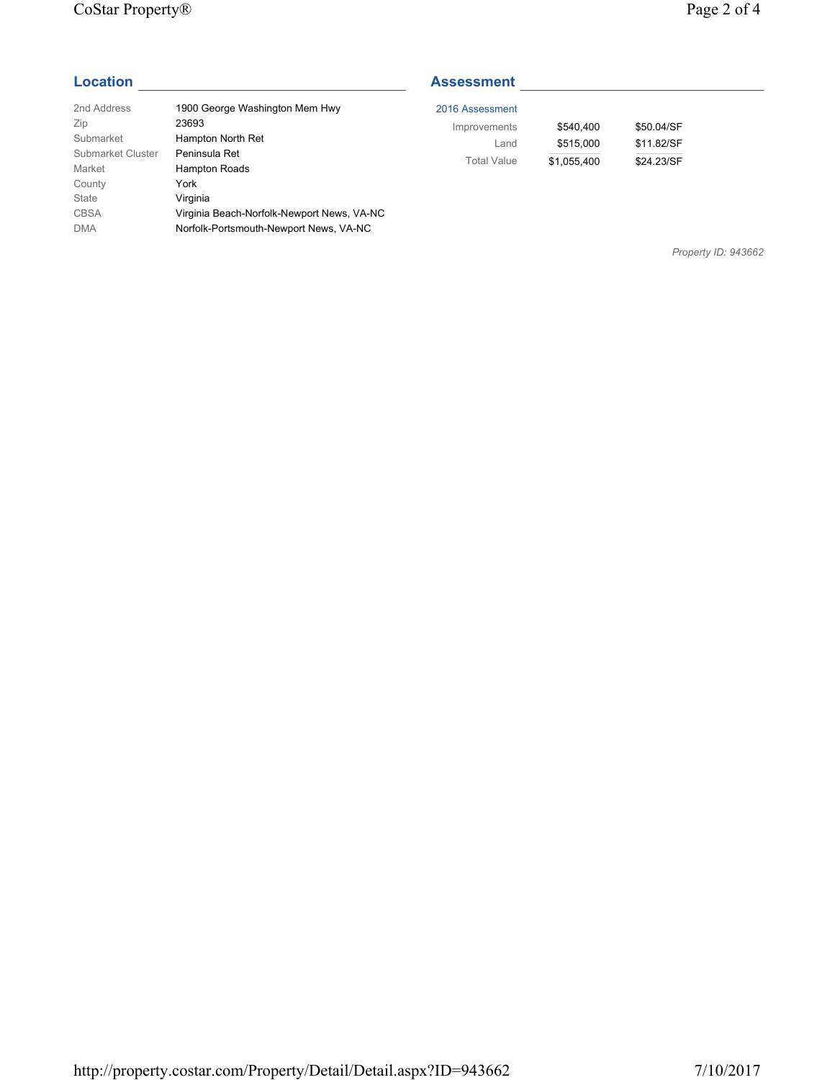#### CoStar Property® Page 2 of 4

| 2nd Address       | 1900 George Washington Mem Hwy             |
|-------------------|--------------------------------------------|
| Zip               | 23693                                      |
| Submarket         | Hampton North Ret                          |
| Submarket Cluster | Peninsula Ret                              |
| Market            | Hampton Roads                              |
| County            | York                                       |
| State             | Virginia                                   |
| <b>CBSA</b>       | Virginia Beach-Norfolk-Newport News, VA-NC |
| <b>DMA</b>        | Norfolk-Portsmouth-Newport News, VA-NC     |

### **Location Assessment Assessment**

| 2016 Assessment    |             |            |
|--------------------|-------------|------------|
| Improvements       | \$540.400   | \$50,04/SF |
| Land               | \$515,000   | \$11.82/SF |
| <b>Total Value</b> | \$1,055,400 | \$24.23/SF |

*Property ID: 943662*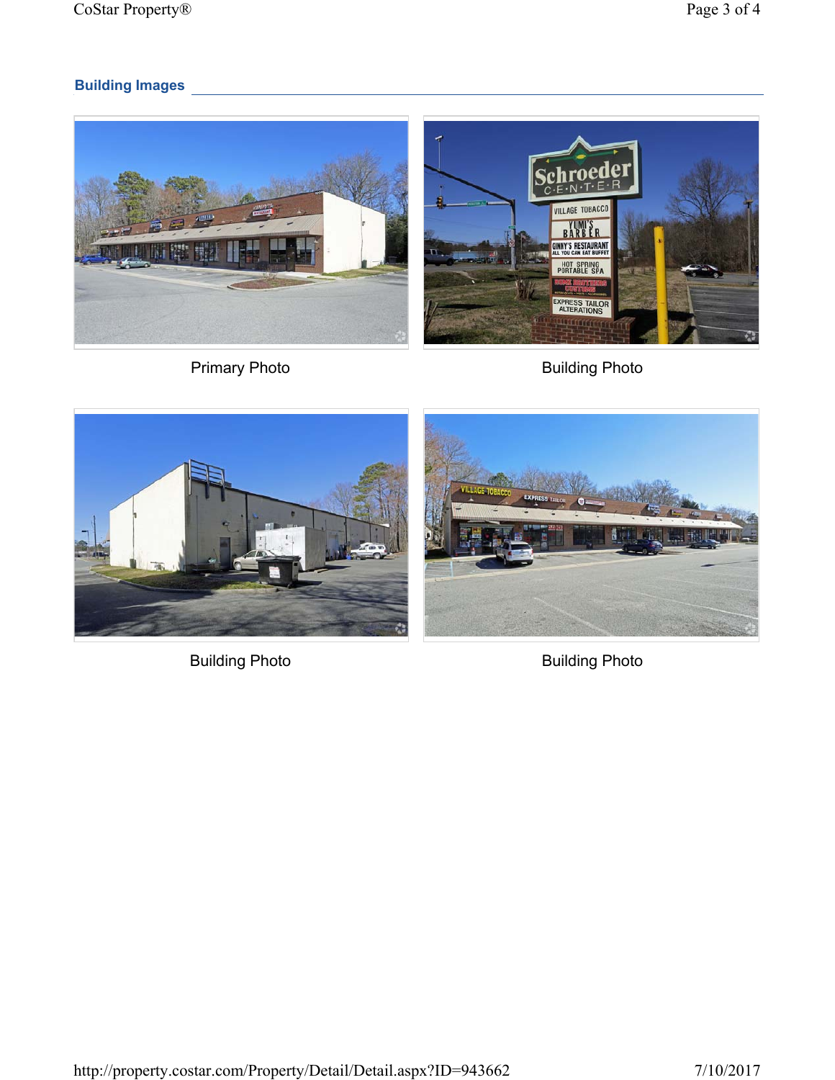# **Building Images**









Building Photo **Building Photo**